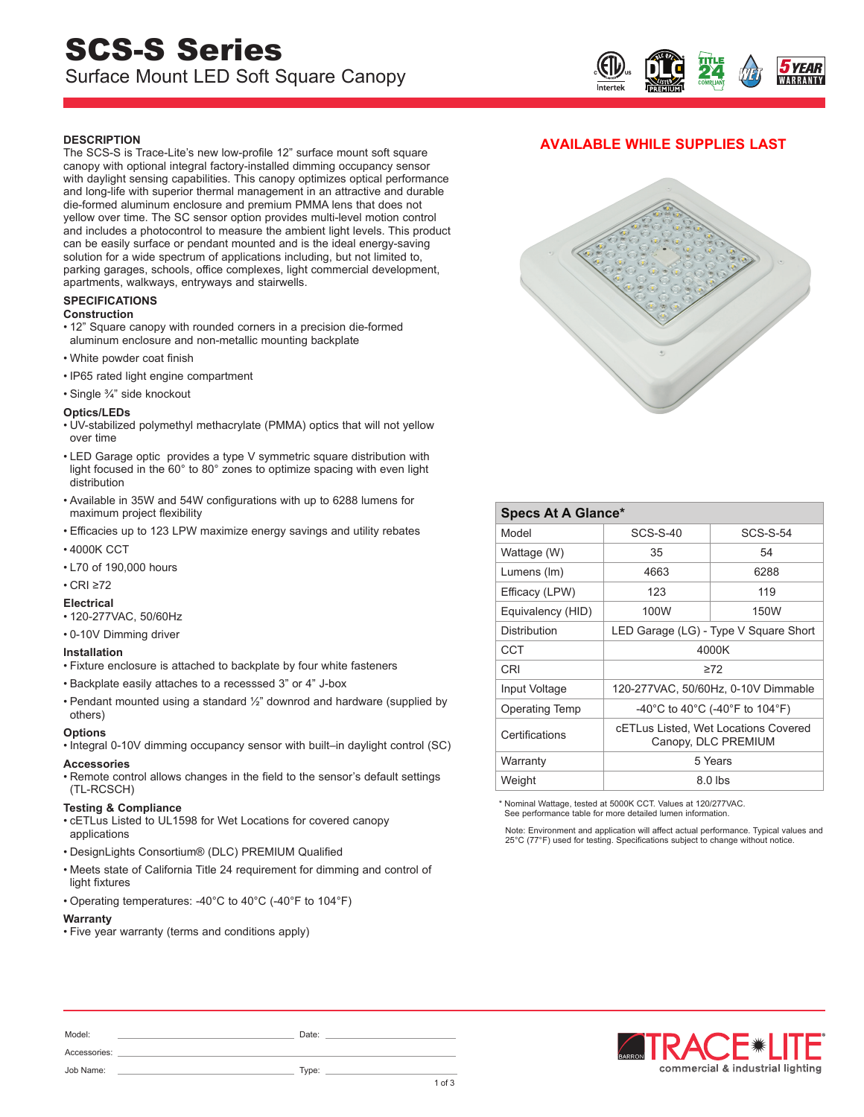# SCS-S Series Surface Mount LED Soft Square Canopy



# **DESCRIPTION**

The SCS-S is Trace-Lite's new low-profile 12" surface mount soft square canopy with optional integral factory-installed dimming occupancy sensor with daylight sensing capabilities. This canopy optimizes optical performance and long-life with superior thermal management in an attractive and durable die-formed aluminum enclosure and premium PMMA lens that does not yellow over time. The SC sensor option provides multi-level motion control and includes a photocontrol to measure the ambient light levels. This product can be easily surface or pendant mounted and is the ideal energy-saving solution for a wide spectrum of applications including, but not limited to, parking garages, schools, office complexes, light commercial development, apartments, walkways, entryways and stairwells.

## **SPECIFICATIONS**

#### **Construction**

- 12" Square canopy with rounded corners in a precision die-formed aluminum enclosure and non-metallic mounting backplate
- White powder coat finish
- IP65 rated light engine compartment
- Single ¾" side knockout

#### **Optics/LEDs**

- UV-stabilized polymethyl methacrylate (PMMA) optics that will not yellow over time
- LED Garage optic provides a type V symmetric square distribution with light focused in the 60° to 80° zones to optimize spacing with even light distribution
- Available in 35W and 54W configurations with up to 6288 lumens for maximum project flexibility
- Efficacies up to 123 LPW maximize energy savings and utility rebates
- 4000K CCT
- L70 of 190,000 hours
- CRI ≥72

## **Electrical**

- 120-277VAC, 50/60Hz
- 0-10V Dimming driver

#### **Installation**

- Fixture enclosure is attached to backplate by four white fasteners
- Backplate easily attaches to a recesssed 3" or 4" J-box
- Pendant mounted using a standard ½" downrod and hardware (supplied by others)

#### **Options**

• Integral 0-10V dimming occupancy sensor with built–in daylight control (SC)

#### **Accessories**

• Remote control allows changes in the field to the sensor's default settings (TL-RCSCH)

#### **Testing & Compliance**

- cETLus Listed to UL1598 for Wet Locations for covered canopy applications
- DesignLights Consortium® (DLC) PREMIUM Qualified
- Meets state of California Title 24 requirement for dimming and control of light fixtures
- Operating temperatures: -40°C to 40°C (-40°F to 104°F)

## **Warranty**

• Five year warranty (terms and conditions apply)





| <b>Specs At A Glance*</b> |                                                             |                 |  |  |  |
|---------------------------|-------------------------------------------------------------|-----------------|--|--|--|
| Model                     | <b>SCS-S-40</b>                                             | <b>SCS-S-54</b> |  |  |  |
| Wattage (W)               | 35                                                          | 54              |  |  |  |
| Lumens (Im)               | 4663                                                        | 6288            |  |  |  |
| Efficacy (LPW)            | 123                                                         | 119             |  |  |  |
| Equivalency (HID)         | 100W                                                        | 150W            |  |  |  |
| Distribution              | LED Garage (LG) - Type V Square Short                       |                 |  |  |  |
| CCT                       | 4000K                                                       |                 |  |  |  |
| CRI                       | $\geq 72$                                                   |                 |  |  |  |
| Input Voltage             | 120-277VAC, 50/60Hz, 0-10V Dimmable                         |                 |  |  |  |
| <b>Operating Temp</b>     | -40°C to 40°C (-40°F to 104°F)                              |                 |  |  |  |
| Certifications            | cETLus Listed, Wet Locations Covered<br>Canopy, DLC PREMIUM |                 |  |  |  |
| Warranty                  | 5 Years                                                     |                 |  |  |  |
| Weight                    | 8.0 lbs                                                     |                 |  |  |  |

Nominal Wattage, tested at 5000K CCT. Values at 120/277VAC. See performance table for more detailed lumen information.

Note: Environment and application will affect actual performance. Typical values and 25°C (77°F) used for testing. Specifications subject to change without notice.



Model: 2008. 2010. 2010. 2010. 2010. 2010. 2010. 2010. 2010. 2010. 2010. 2010. 2010. 2010. 2010. 2010. 2010. 20 Accessories: Job Name: Type: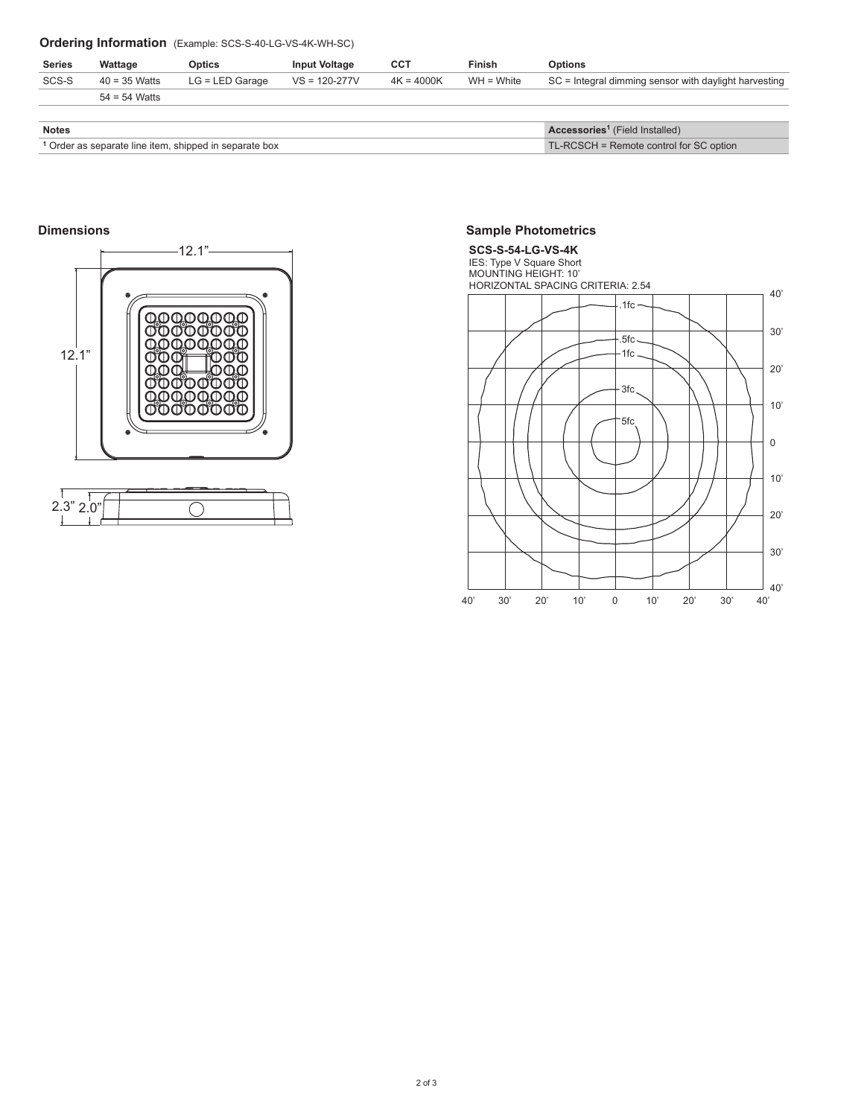# **Ordering Information** (Example: SCS-S-40-LG-VS-4K-WH-SC)

| <b>Series</b>                                                     | Wattage         | <b>Optics</b>     | <b>Input Voltage</b> | <b>CCT</b>   | <b>Finish</b>                           | <b>Options</b>                                          |
|-------------------------------------------------------------------|-----------------|-------------------|----------------------|--------------|-----------------------------------------|---------------------------------------------------------|
| SCS-S                                                             | $40 = 35$ Watts | $LG = LED$ Garage | $VS = 120-277V$      | $4K = 4000K$ | $WH = White$                            | $SC =$ Integral dimming sensor with daylight harvesting |
|                                                                   | $54 = 54$ Watts |                   |                      |              |                                         |                                                         |
|                                                                   |                 |                   |                      |              |                                         |                                                         |
| <b>Notes</b>                                                      |                 |                   |                      |              |                                         | Accessories <sup>1</sup> (Field Installed)              |
| <sup>1</sup> Order as separate line item, shipped in separate box |                 |                   |                      |              | TL-RCSCH = Remote control for SC option |                                                         |

## **Dimensions**



## **Sample Photometrics**